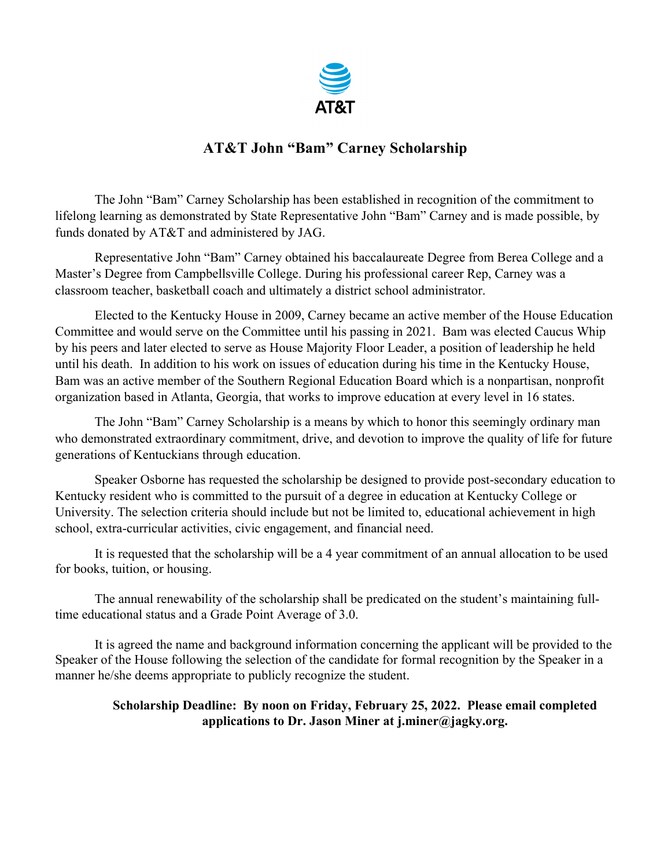

### **AT&T John "Bam" Carney Scholarship**

The John "Bam" Carney Scholarship has been established in recognition of the commitment to lifelong learning as demonstrated by State Representative John "Bam" Carney and is made possible, by funds donated by AT&T and administered by JAG.

Representative John "Bam" Carney obtained his baccalaureate Degree from Berea College and a Master's Degree from Campbellsville College. During his professional career Rep, Carney was a classroom teacher, basketball coach and ultimately a district school administrator.

Elected to the Kentucky House in 2009, Carney became an active member of the House Education Committee and would serve on the Committee until his passing in 2021. Bam was elected Caucus Whip by his peers and later elected to serve as House Majority Floor Leader, a position of leadership he held until his death. In addition to his work on issues of education during his time in the Kentucky House, Bam was an active member of the Southern Regional Education Board which is a nonpartisan, nonprofit organization based in Atlanta, Georgia, that works to improve education at every level in 16 states.

The John "Bam" Carney Scholarship is a means by which to honor this seemingly ordinary man who demonstrated extraordinary commitment, drive, and devotion to improve the quality of life for future generations of Kentuckians through education.

Speaker Osborne has requested the scholarship be designed to provide post-secondary education to Kentucky resident who is committed to the pursuit of a degree in education at Kentucky College or University. The selection criteria should include but not be limited to, educational achievement in high school, extra-curricular activities, civic engagement, and financial need.

It is requested that the scholarship will be a 4 year commitment of an annual allocation to be used for books, tuition, or housing.

The annual renewability of the scholarship shall be predicated on the student's maintaining fulltime educational status and a Grade Point Average of 3.0.

It is agreed the name and background information concerning the applicant will be provided to the Speaker of the House following the selection of the candidate for formal recognition by the Speaker in a manner he/she deems appropriate to publicly recognize the student.

### **Scholarship Deadline: By noon on Friday, February 25, 2022. Please email completed applications to Dr. Jason Miner at j.miner@jagky.org.**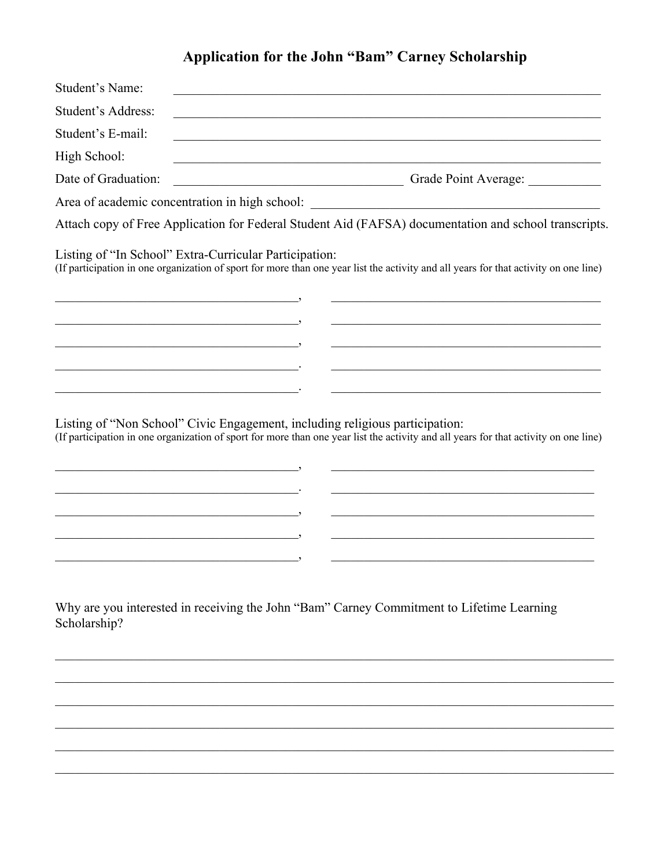# Application for the John "Bam" Carney Scholarship

| Student's Name:                                                                                                       |                                                                                                                                                                                                                                                                                                                                                                                                                                                                                                                                |
|-----------------------------------------------------------------------------------------------------------------------|--------------------------------------------------------------------------------------------------------------------------------------------------------------------------------------------------------------------------------------------------------------------------------------------------------------------------------------------------------------------------------------------------------------------------------------------------------------------------------------------------------------------------------|
| Student's Address:                                                                                                    |                                                                                                                                                                                                                                                                                                                                                                                                                                                                                                                                |
| Student's E-mail:                                                                                                     |                                                                                                                                                                                                                                                                                                                                                                                                                                                                                                                                |
| High School:                                                                                                          | <u> 1989 - Johann John Stone, mars et al. 1989 - John Stone, mars et al. 1989 - John Stone, mars et al. 1989 - John Stone</u>                                                                                                                                                                                                                                                                                                                                                                                                  |
| Date of Graduation:                                                                                                   | Grade Point Average:<br><u> 1989 - Jan Barbara Barat, manala</u>                                                                                                                                                                                                                                                                                                                                                                                                                                                               |
|                                                                                                                       | Area of academic concentration in high school: __________________________________                                                                                                                                                                                                                                                                                                                                                                                                                                              |
|                                                                                                                       | Attach copy of Free Application for Federal Student Aid (FAFSA) documentation and school transcripts.                                                                                                                                                                                                                                                                                                                                                                                                                          |
|                                                                                                                       | Listing of "In School" Extra-Curricular Participation:<br>(If participation in one organization of sport for more than one year list the activity and all years for that activity on one line)                                                                                                                                                                                                                                                                                                                                 |
|                                                                                                                       | the control of the control of the control of the control of the control of the control of<br><u> 1989 - Johann John Stoff, mars and de Brasilian (b. 1989)</u>                                                                                                                                                                                                                                                                                                                                                                 |
|                                                                                                                       | the control of the control of the control of the control of the control of the control of the control of the control of the control of the control of the control of the control of the control of the control of the control                                                                                                                                                                                                                                                                                                  |
|                                                                                                                       | <u> 1990 - Paris Alexandria, primeira española (n. 1909).</u>                                                                                                                                                                                                                                                                                                                                                                                                                                                                  |
| <u> 1980 - Johann John Stein, markin fan de Amerikaansk kommunister (d. 1980)</u>                                     |                                                                                                                                                                                                                                                                                                                                                                                                                                                                                                                                |
|                                                                                                                       | the control of the control of the control of the control of the control of the control of the control of the control of the control of the control of the control of the control of the control of the control of the control                                                                                                                                                                                                                                                                                                  |
| <u> 1989 - Jan Barnett, martin de ferrer eta bainar eta baina eta baina eta baina eta baina eta baina eta baina e</u> | Listing of "Non School" Civic Engagement, including religious participation:<br>(If participation in one organization of sport for more than one year list the activity and all years for that activity on one line)<br><u> 1990 - Johann John Harry Harry Harry Harry Harry Harry Harry Harry Harry Harry Harry Harry Harry Harry Harry H</u><br><u> 1990 - Paris Alexandria, poeta e poeta especial e poeta establecera e poeta establecera e poeta establecera e</u><br><u> 1989 - Johann Barbara, martxa alemaniar arg</u> |
| <u> 1989 - Johann Barbara, martxa alemaniar arg</u>                                                                   | the control of the control of the control of the control of the control of the control of                                                                                                                                                                                                                                                                                                                                                                                                                                      |
|                                                                                                                       |                                                                                                                                                                                                                                                                                                                                                                                                                                                                                                                                |
| Scholarship?                                                                                                          | Why are you interested in receiving the John "Bam" Carney Commitment to Lifetime Learning                                                                                                                                                                                                                                                                                                                                                                                                                                      |
|                                                                                                                       |                                                                                                                                                                                                                                                                                                                                                                                                                                                                                                                                |
|                                                                                                                       |                                                                                                                                                                                                                                                                                                                                                                                                                                                                                                                                |
|                                                                                                                       |                                                                                                                                                                                                                                                                                                                                                                                                                                                                                                                                |
|                                                                                                                       |                                                                                                                                                                                                                                                                                                                                                                                                                                                                                                                                |
|                                                                                                                       |                                                                                                                                                                                                                                                                                                                                                                                                                                                                                                                                |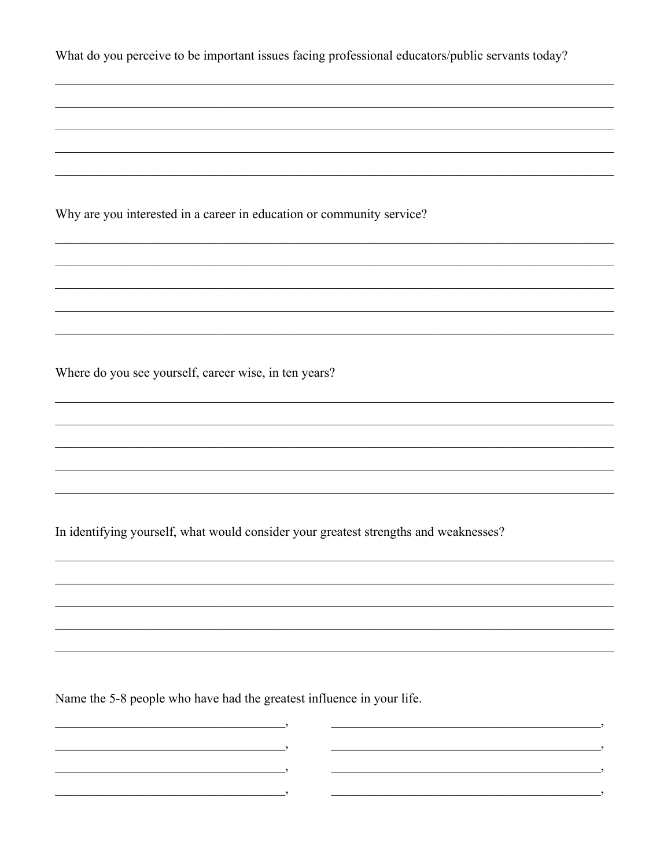| What do you perceive to be important issues facing professional educators/public servants today? |
|--------------------------------------------------------------------------------------------------|
|                                                                                                  |
|                                                                                                  |
|                                                                                                  |
| Why are you interested in a career in education or community service?                            |
|                                                                                                  |
|                                                                                                  |
|                                                                                                  |
| Where do you see yourself, career wise, in ten years?                                            |
|                                                                                                  |
|                                                                                                  |
|                                                                                                  |
| In identifying yourself, what would consider your greatest strengths and weaknesses?             |
|                                                                                                  |
|                                                                                                  |
|                                                                                                  |
|                                                                                                  |
| Name the 5-8 people who have had the greatest influence in your life.                            |

 $\overline{\phantom{a}}$ 

 $\overline{\phantom{a}}$ 

 $\overline{\phantom{a}}$ 

 $\overline{\phantom{a}}$ 

 $\overline{\phantom{a}}$ 

 $\overline{\phantom{a}}$